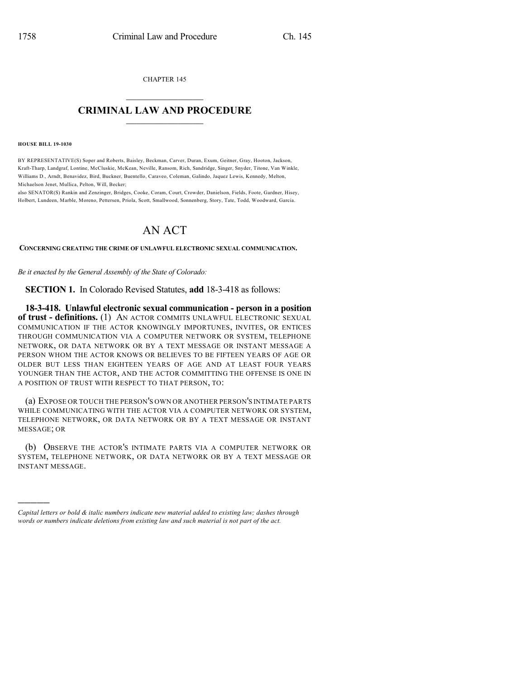CHAPTER 145

## $\mathcal{L}_\text{max}$  . The set of the set of the set of the set of the set of the set of the set of the set of the set of the set of the set of the set of the set of the set of the set of the set of the set of the set of the set **CRIMINAL LAW AND PROCEDURE**  $\frac{1}{2}$  ,  $\frac{1}{2}$  ,  $\frac{1}{2}$  ,  $\frac{1}{2}$  ,  $\frac{1}{2}$  ,  $\frac{1}{2}$  ,  $\frac{1}{2}$

**HOUSE BILL 19-1030**

)))))

BY REPRESENTATIVE(S) Soper and Roberts, Baisley, Beckman, Carver, Duran, Exum, Geitner, Gray, Hooton, Jackson, Kraft-Tharp, Landgraf, Lontine, McCluskie, McKean, Neville, Ransom, Rich, Sandridge, Singer, Snyder, Titone, Van Winkle, Williams D., Arndt, Benavidez, Bird, Buckner, Buentello, Caraveo, Coleman, Galindo, Jaquez Lewis, Kennedy, Melton, Michaelson Jenet, Mullica, Pelton, Will, Becker;

also SENATOR(S) Rankin and Zenzinger, Bridges, Cooke, Coram, Court, Crowder, Danielson, Fields, Foote, Gardner, Hisey, Holbert, Lundeen, Marble, Moreno, Pettersen, Priola, Scott, Smallwood, Sonnenberg, Story, Tate, Todd, Woodward, Garcia.

## AN ACT

**CONCERNING CREATING THE CRIME OF UNLAWFUL ELECTRONIC SEXUAL COMMUNICATION.**

*Be it enacted by the General Assembly of the State of Colorado:*

**SECTION 1.** In Colorado Revised Statutes, **add** 18-3-418 as follows:

**18-3-418. Unlawful electronic sexual communication - person in a position of trust - definitions.** (1) AN ACTOR COMMITS UNLAWFUL ELECTRONIC SEXUAL COMMUNICATION IF THE ACTOR KNOWINGLY IMPORTUNES, INVITES, OR ENTICES THROUGH COMMUNICATION VIA A COMPUTER NETWORK OR SYSTEM, TELEPHONE NETWORK, OR DATA NETWORK OR BY A TEXT MESSAGE OR INSTANT MESSAGE A PERSON WHOM THE ACTOR KNOWS OR BELIEVES TO BE FIFTEEN YEARS OF AGE OR OLDER BUT LESS THAN EIGHTEEN YEARS OF AGE AND AT LEAST FOUR YEARS YOUNGER THAN THE ACTOR, AND THE ACTOR COMMITTING THE OFFENSE IS ONE IN A POSITION OF TRUST WITH RESPECT TO THAT PERSON, TO:

(a) EXPOSE OR TOUCH THE PERSON'S OWN OR ANOTHER PERSON'S INTIMATE PARTS WHILE COMMUNICATING WITH THE ACTOR VIA A COMPUTER NETWORK OR SYSTEM, TELEPHONE NETWORK, OR DATA NETWORK OR BY A TEXT MESSAGE OR INSTANT MESSAGE; OR

(b) OBSERVE THE ACTOR'S INTIMATE PARTS VIA A COMPUTER NETWORK OR SYSTEM, TELEPHONE NETWORK, OR DATA NETWORK OR BY A TEXT MESSAGE OR INSTANT MESSAGE.

*Capital letters or bold & italic numbers indicate new material added to existing law; dashes through words or numbers indicate deletions from existing law and such material is not part of the act.*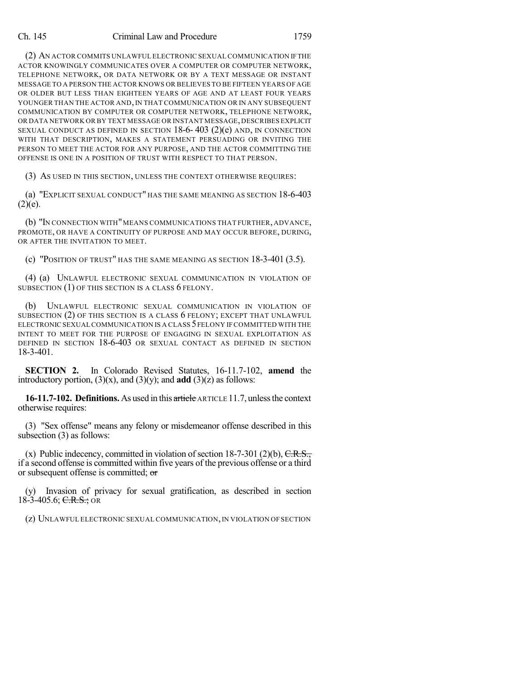## Ch. 145 Criminal Law and Procedure 1759

(2) AN ACTOR COMMITS UNLAWFUL ELECTRONIC SEXUALCOMMUNICATION IFTHE ACTOR KNOWINGLY COMMUNICATES OVER A COMPUTER OR COMPUTER NETWORK, TELEPHONE NETWORK, OR DATA NETWORK OR BY A TEXT MESSAGE OR INSTANT MESSAGE TO A PERSON THE ACTOR KNOWS OR BELIEVES TO BE FIFTEEN YEARS OF AGE OR OLDER BUT LESS THAN EIGHTEEN YEARS OF AGE AND AT LEAST FOUR YEARS YOUNGER THAN THE ACTOR AND, IN THAT COMMUNICATION OR IN ANY SUBSEQUENT COMMUNICATION BY COMPUTER OR COMPUTER NETWORK, TELEPHONE NETWORK, OR DATA NETWORK OR BY TEXT MESSAGE OR INSTANT MESSAGE, DESCRIBES EXPLICIT SEXUAL CONDUCT AS DEFINED IN SECTION  $18-6-403$  (2)(e) AND, IN CONNECTION WITH THAT DESCRIPTION, MAKES A STATEMENT PERSUADING OR INVITING THE PERSON TO MEET THE ACTOR FOR ANY PURPOSE, AND THE ACTOR COMMITTING THE OFFENSE IS ONE IN A POSITION OF TRUST WITH RESPECT TO THAT PERSON.

(3) AS USED IN THIS SECTION, UNLESS THE CONTEXT OTHERWISE REQUIRES:

(a) "EXPLICIT SEXUAL CONDUCT" HAS THE SAME MEANING AS SECTION 18-6-403  $(2)(e)$ .

(b) "IN CONNECTION WITH"MEANS COMMUNICATIONS THAT FURTHER, ADVANCE, PROMOTE, OR HAVE A CONTINUITY OF PURPOSE AND MAY OCCUR BEFORE, DURING, OR AFTER THE INVITATION TO MEET.

(c) "POSITION OF TRUST" HAS THE SAME MEANING AS SECTION 18-3-401 (3.5).

(4) (a) UNLAWFUL ELECTRONIC SEXUAL COMMUNICATION IN VIOLATION OF SUBSECTION (1) OF THIS SECTION IS A CLASS 6 FELONY.

(b) UNLAWFUL ELECTRONIC SEXUAL COMMUNICATION IN VIOLATION OF SUBSECTION (2) OF THIS SECTION IS A CLASS 6 FELONY; EXCEPT THAT UNLAWFUL ELECTRONIC SEXUAL COMMUNICATION IS A CLASS 5FELONY IF COMMITTED WITH THE INTENT TO MEET FOR THE PURPOSE OF ENGAGING IN SEXUAL EXPLOITATION AS DEFINED IN SECTION 18-6-403 OR SEXUAL CONTACT AS DEFINED IN SECTION 18-3-401.

**SECTION 2.** In Colorado Revised Statutes, 16-11.7-102, **amend** the introductory portion,  $(3)(x)$ , and  $(3)(y)$ ; and **add**  $(3)(z)$  as follows:

**16-11.7-102. Definitions.** As used in this article ARTICLE 11.7, unlessthe context otherwise requires:

(3) "Sex offense" means any felony or misdemeanor offense described in this subsection (3) as follows:

(x) Public indecency, committed in violation of section  $18-7-301$  (2)(b),  $C.R.S.,$ if a second offense is committed within five years of the previous offense or a third or subsequent offense is committed; or

(y) Invasion of privacy for sexual gratification, as described in section 18-3-405.6;  $C.R.S.$ ; OR

(z) UNLAWFUL ELECTRONIC SEXUAL COMMUNICATION,IN VIOLATION OF SECTION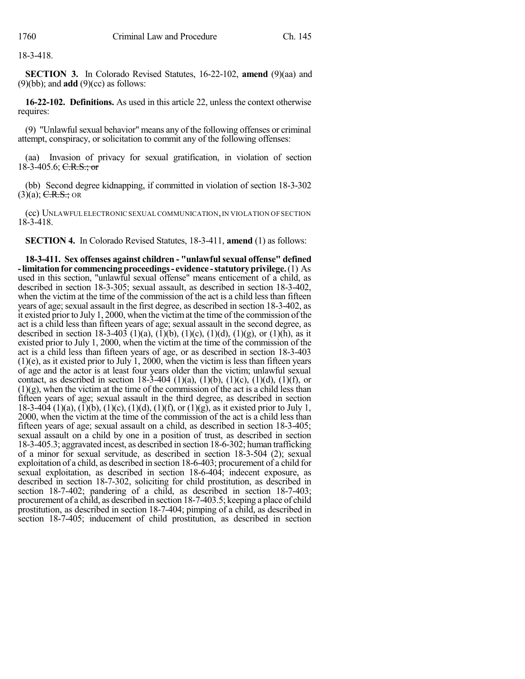18-3-418.

**SECTION 3.** In Colorado Revised Statutes, 16-22-102, **amend** (9)(aa) and (9)(bb); and **add** (9)(cc) as follows:

**16-22-102. Definitions.** As used in this article 22, unless the context otherwise requires:

(9) "Unlawful sexual behavior" means any of the following offenses or criminal attempt, conspiracy, or solicitation to commit any of the following offenses:

(aa) Invasion of privacy for sexual gratification, in violation of section 18-3-405.6; C.R.S.; or

(bb) Second degree kidnapping, if committed in violation of section 18-3-302  $(3)(a)$ ; C.R.S.; OR

(cc) UNLAWFUL ELECTRONIC SEXUAL COMMUNICATION,IN VIOLATION OF SECTION 18-3-418.

**SECTION 4.** In Colorado Revised Statutes, 18-3-411, **amend** (1) as follows:

**18-3-411. Sex offenses against children - "unlawfulsexual offense" defined -limitationfor commencingproceedings- evidence -statutoryprivilege.**(1) As used in this section, "unlawful sexual offense" means enticement of a child, as described in section 18-3-305; sexual assault, as described in section 18-3-402, when the victim at the time of the commission of the act is a child less than fifteen years of age; sexual assault in the first degree, as described in section 18-3-402, as it existed prior to July 1, 2000, when the victimat the time of the commission of the act is a child less than fifteen years of age; sexual assault in the second degree, as described in section 18-3-403 (1)(a), (1)(b), (1)(c), (1)(d), (1)(g), or (1)(h), as it existed prior to July 1, 2000, when the victim at the time of the commission of the act is a child less than fifteen years of age, or as described in section 18-3-403  $(1)(e)$ , as it existed prior to July 1, 2000, when the victim is less than fifteen years of age and the actor is at least four years older than the victim; unlawful sexual contact, as described in section  $18-3-404$  (1)(a), (1)(b), (1)(c), (1)(d), (1)(f), or  $(1)(g)$ , when the victim at the time of the commission of the act is a child less than fifteen years of age; sexual assault in the third degree, as described in section 18-3-404 (1)(a), (1)(b), (1)(c), (1)(d), (1)(f), or (1)(g), as it existed prior to July 1, 2000, when the victim at the time of the commission of the act is a child less than fifteen years of age; sexual assault on a child, as described in section 18-3-405; sexual assault on a child by one in a position of trust, as described in section 18-3-405.3; aggravated incest, as described in section 18-6-302; human trafficking of a minor for sexual servitude, as described in section 18-3-504 (2); sexual exploitation of a child, as described in section 18-6-403; procurement of a child for sexual exploitation, as described in section 18-6-404; indecent exposure, as described in section 18-7-302, soliciting for child prostitution, as described in section 18-7-402; pandering of a child, as described in section 18-7-403; procurement of a child, as described in section 18-7-403.5; keeping a place of child prostitution, as described in section 18-7-404; pimping of a child, as described in section 18-7-405; inducement of child prostitution, as described in section